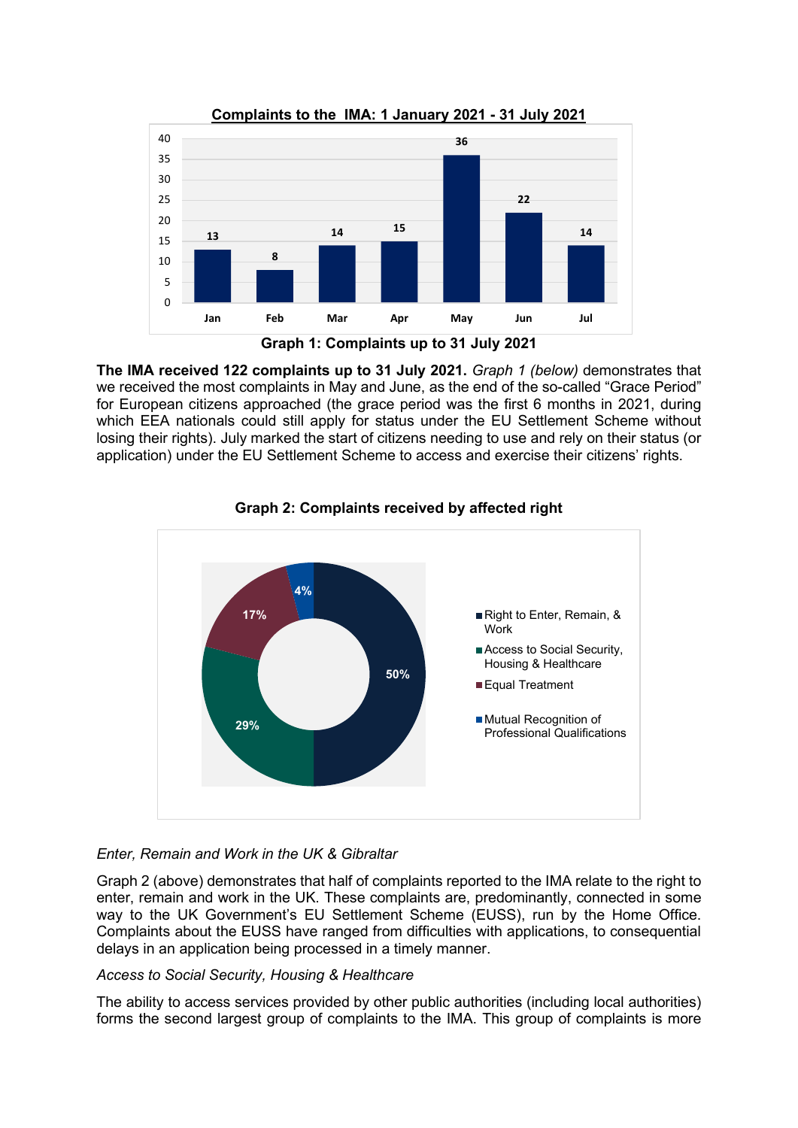

**The IMA received 122 complaints up to 31 July 2021.** *Graph 1 (below)* demonstrates that we received the most complaints in May and June, as the end of the so-called "Grace Period" for European citizens approached (the grace period was the first 6 months in 2021, during which EEA nationals could still apply for status under the EU Settlement Scheme without losing their rights). July marked the start of citizens needing to use and rely on their status (or application) under the EU Settlement Scheme to access and exercise their citizens' rights.



# **Graph 2: Complaints received by affected right**

# *Enter, Remain and Work in the UK & Gibraltar*

Graph 2 (above) demonstrates that half of complaints reported to the IMA relate to the right to enter, remain and work in the UK. These complaints are, predominantly, connected in some way to the UK Government's EU Settlement Scheme (EUSS), run by the Home Office. Complaints about the EUSS have ranged from difficulties with applications, to consequential delays in an application being processed in a timely manner.

# *Access to Social Security, Housing & Healthcare*

The ability to access services provided by other public authorities (including local authorities) forms the second largest group of complaints to the IMA. This group of complaints is more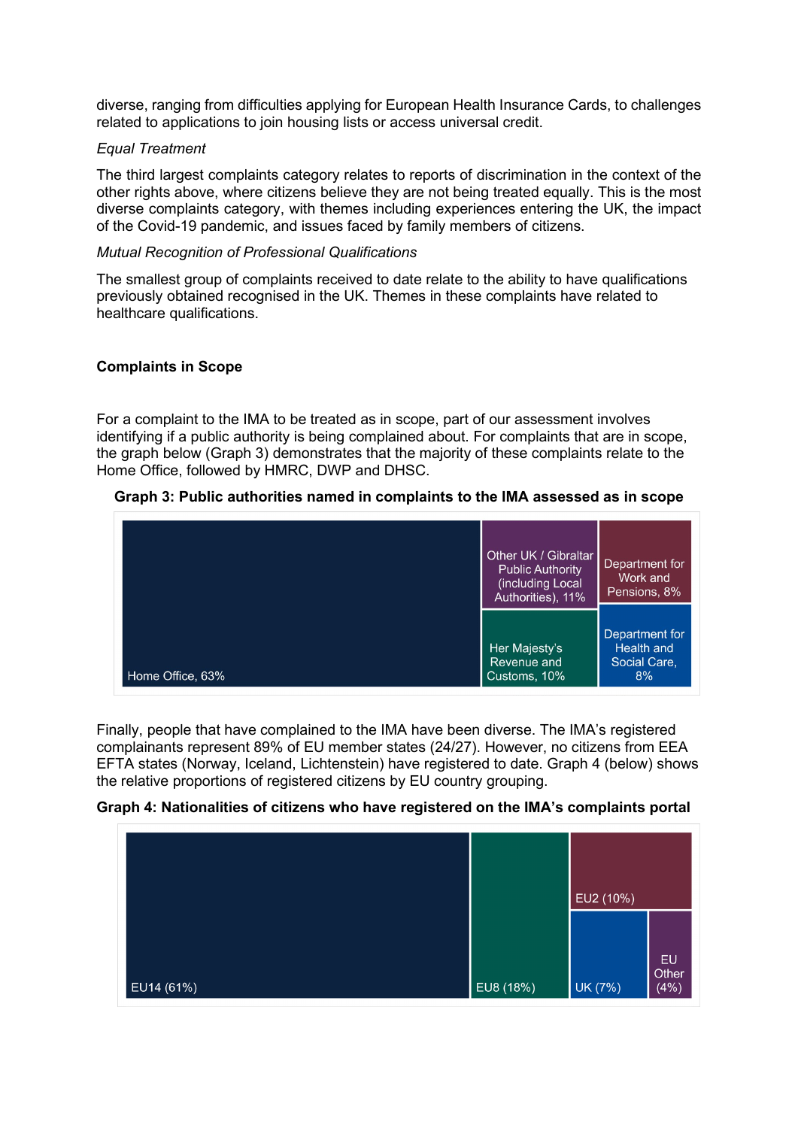diverse, ranging from difficulties applying for European Health Insurance Cards, to challenges related to applications to join housing lists or access universal credit.

#### *Equal Treatment*

The third largest complaints category relates to reports of discrimination in the context of the other rights above, where citizens believe they are not being treated equally. This is the most diverse complaints category, with themes including experiences entering the UK, the impact of the Covid-19 pandemic, and issues faced by family members of citizens.

#### *Mutual Recognition of Professional Qualifications*

The smallest group of complaints received to date relate to the ability to have qualifications previously obtained recognised in the UK. Themes in these complaints have related to healthcare qualifications.

### **Complaints in Scope**

For a complaint to the IMA to be treated as in scope, part of our assessment involves identifying if a public authority is being complained about. For complaints that are in scope, the graph below (Graph 3) demonstrates that the majority of these complaints relate to the Home Office, followed by HMRC, DWP and DHSC.

### **Graph 3: Public authorities named in complaints to the IMA assessed as in scope**



Finally, people that have complained to the IMA have been diverse. The IMA's registered complainants represent 89% of EU member states (24/27). However, no citizens from EEA EFTA states (Norway, Iceland, Lichtenstein) have registered to date. Graph 4 (below) shows the relative proportions of registered citizens by EU country grouping.

# **Graph 4: Nationalities of citizens who have registered on the IMA's complaints portal**

|            |           | EU2 (10%) | EU            |
|------------|-----------|-----------|---------------|
| EUI4 (61%) | EU8 (18%) | UK (7%)   | Other<br>(4%) |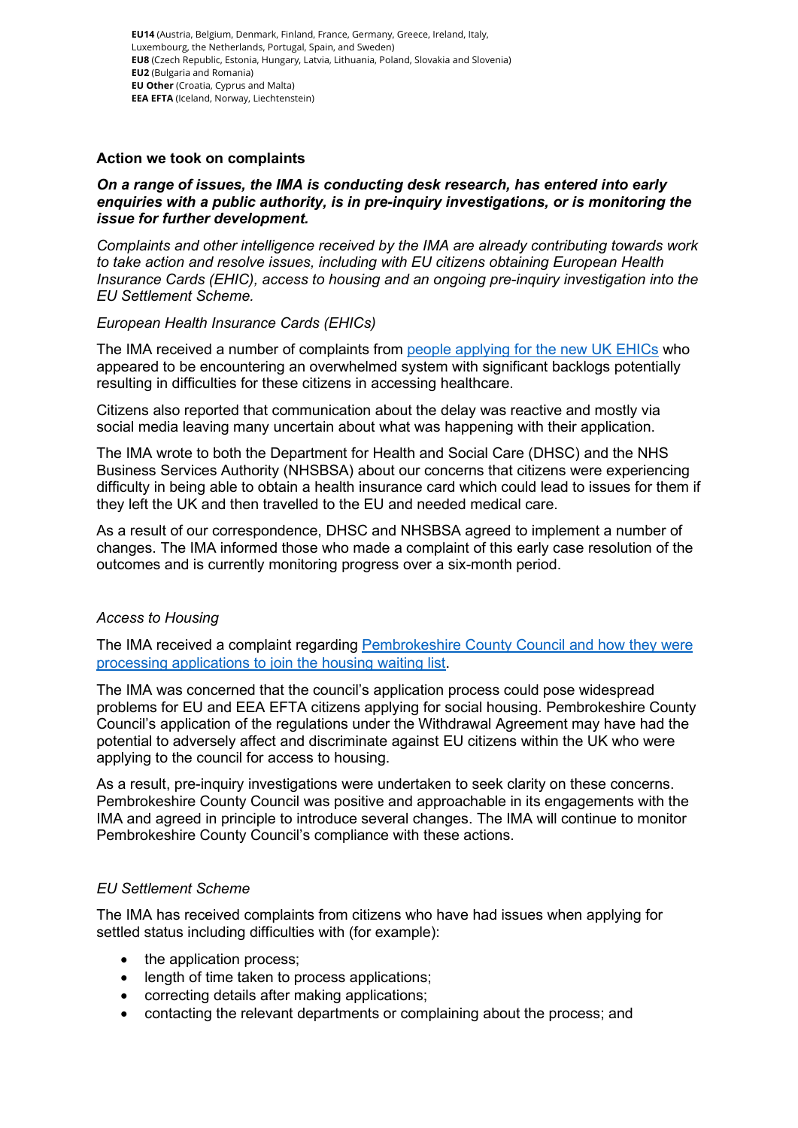**EU14** (Austria, Belgium, Denmark, Finland, France, Germany, Greece, Ireland, Italy, Luxembourg, the Netherlands, Portugal, Spain, and Sweden) **EU8** (Czech Republic, Estonia, Hungary, Latvia, Lithuania, Poland, Slovakia and Slovenia) **EU2** (Bulgaria and Romania) **EU Other** (Croatia, Cyprus and Malta) **EEA EFTA** (Iceland, Norway, Liechtenstein)

### **Action we took on complaints**

### *On a range of issues, the IMA is conducting desk research, has entered into early enquiries with a public authority, is in pre-inquiry investigations, or is monitoring the issue for further development.*

*Complaints and other intelligence received by the IMA are already contributing towards work to take action and resolve issues, including with EU citizens obtaining European Health Insurance Cards (EHIC), access to housing and an ongoing pre-inquiry investigation into the EU Settlement Scheme.* 

### *European Health Insurance Cards (EHICs)*

The IMA received a number of complaints from [people applying for the new UK EHICs](https://ima-citizensrights.org.uk/early-case-resolutions/new-uk-issued-european-health-insurance-card-ehic/) who appeared to be encountering an overwhelmed system with significant backlogs potentially resulting in difficulties for these citizens in accessing healthcare.

Citizens also reported that communication about the delay was reactive and mostly via social media leaving many uncertain about what was happening with their application.

The IMA wrote to both the Department for Health and Social Care (DHSC) and the NHS Business Services Authority (NHSBSA) about our concerns that citizens were experiencing difficulty in being able to obtain a health insurance card which could lead to issues for them if they left the UK and then travelled to the EU and needed medical care.

As a result of our correspondence, DHSC and NHSBSA agreed to implement a number of changes. The IMA informed those who made a complaint of this early case resolution of the outcomes and is currently monitoring progress over a six-month period.

# *Access to Housing*

The IMA received a complaint regarding Pembrokeshire County Council and how they were [processing applications to join the housing waiting list.](https://ima-citizensrights.org.uk/pembrokeshire-county-council/)

The IMA was concerned that the council's application process could pose widespread problems for EU and EEA EFTA citizens applying for social housing. Pembrokeshire County Council's application of the regulations under the Withdrawal Agreement may have had the potential to adversely affect and discriminate against EU citizens within the UK who were applying to the council for access to housing.

As a result, pre-inquiry investigations were undertaken to seek clarity on these concerns. Pembrokeshire County Council was positive and approachable in its engagements with the IMA and agreed in principle to introduce several changes. The IMA will continue to monitor Pembrokeshire County Council's compliance with these actions.

# *EU Settlement Scheme*

The IMA has received complaints from citizens who have had issues when applying for settled status including difficulties with (for example):

- the application process;
- length of time taken to process applications:
- correcting details after making applications;
- contacting the relevant departments or complaining about the process; and